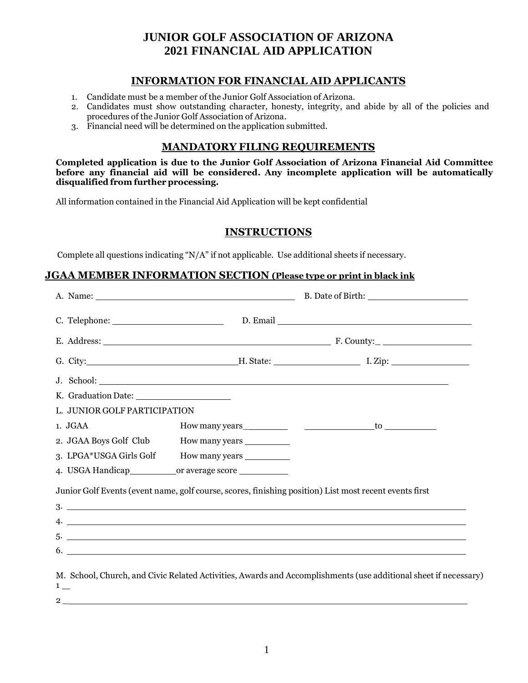### **JUNIOR GOLF ASSOCIATION OF ARIZONA 2021 FINANCIAL AID APPLICATION**

#### **INFORMATION FOR FINANCIAL AID APPLICANTS**

- 1. Candidate must be a member of the Junior Golf Association of Arizona.
- 2. Candidates must show outstanding character, honesty, integrity, and abide by all of the policies and procedures of the Junior Golf Association of Arizona.
- 3. Financial need will be determined on the application submitted.

#### **MANDATORY FILING REQUIREMENTS**

**Completed application is due to the Junior Golf Association of Arizona Financial Aid Committee before any financial aid will be considered. Any incomplete application will be automatically disqualified from further processing.**

All information contained in the Financial Aid Application will be kept confidential

#### **INSTRUCTIONS**

Complete all questions indicating "N/A" if not applicable. Use additional sheets if necessary.

#### **JGAA MEMBER INFORMATION SECTION (Please type or print in black ink**

| Junior Golf Events (event name, golf course, scores, finishing position) List most recent events first<br>$3.$ $\overline{\phantom{a}}$ |
|-----------------------------------------------------------------------------------------------------------------------------------------|
|                                                                                                                                         |
| 6. $\overline{\phantom{a}}$                                                                                                             |
| M. School, Church, and Civic Related Activities, Awards and Accomplishments (use additional sheet if necessary)                         |
|                                                                                                                                         |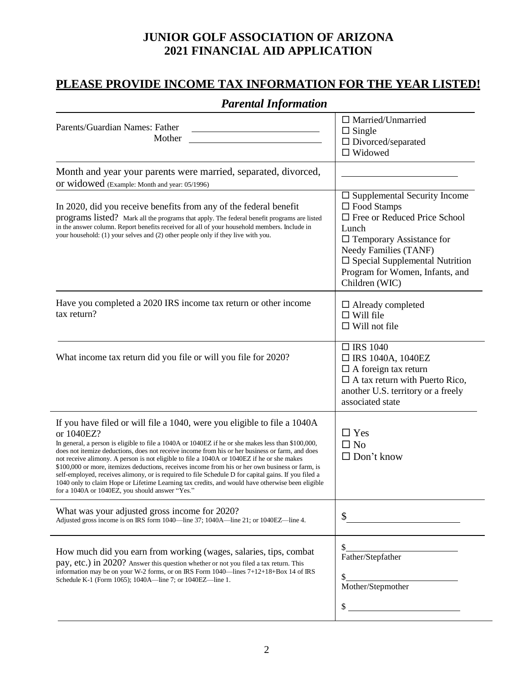### **JUNIOR GOLF ASSOCIATION OF ARIZONA 2021 FINANCIAL AID APPLICATION**

### **PLEASE PROVIDE INCOME TAX INFORMATION FOR THE YEAR LISTED!**

# *Parental Information*

| Parents/Guardian Names: Father<br>Mother                                                                                                                                                                                                                                                                                                                                                                                                                                                                                                                                                                                                                                                                                                                         | $\Box$ Married/Unmarried<br>$\Box$ Single<br>$\Box$ Divorced/separated<br>$\Box$ Widowed                                                                                                                                                                                  |
|------------------------------------------------------------------------------------------------------------------------------------------------------------------------------------------------------------------------------------------------------------------------------------------------------------------------------------------------------------------------------------------------------------------------------------------------------------------------------------------------------------------------------------------------------------------------------------------------------------------------------------------------------------------------------------------------------------------------------------------------------------------|---------------------------------------------------------------------------------------------------------------------------------------------------------------------------------------------------------------------------------------------------------------------------|
| Month and year your parents were married, separated, divorced,<br>or widowed (Example: Month and year: 05/1996)                                                                                                                                                                                                                                                                                                                                                                                                                                                                                                                                                                                                                                                  |                                                                                                                                                                                                                                                                           |
| In 2020, did you receive benefits from any of the federal benefit<br>programs listed? Mark all the programs that apply. The federal benefit programs are listed<br>in the answer column. Report benefits received for all of your household members. Include in<br>your household: (1) your selves and (2) other people only if they live with you.                                                                                                                                                                                                                                                                                                                                                                                                              | $\square$ Supplemental Security Income<br>$\Box$ Food Stamps<br>$\Box$ Free or Reduced Price School<br>Lunch<br>$\Box$ Temporary Assistance for<br>Needy Families (TANF)<br>$\square$ Special Supplemental Nutrition<br>Program for Women, Infants, and<br>Children (WIC) |
| Have you completed a 2020 IRS income tax return or other income<br>tax return?                                                                                                                                                                                                                                                                                                                                                                                                                                                                                                                                                                                                                                                                                   | $\Box$ Already completed<br>$\Box$ Will file<br>$\Box$ Will not file                                                                                                                                                                                                      |
| What income tax return did you file or will you file for 2020?                                                                                                                                                                                                                                                                                                                                                                                                                                                                                                                                                                                                                                                                                                   | $\Box$ IRS 1040<br>$\Box$ IRS 1040A, 1040EZ<br>$\Box$ A foreign tax return<br>$\Box$ A tax return with Puerto Rico,<br>another U.S. territory or a freely<br>associated state                                                                                             |
| If you have filed or will file a 1040, were you eligible to file a 1040A<br>or 1040EZ?<br>In general, a person is eligible to file a 1040A or 1040EZ if he or she makes less than \$100,000,<br>does not itemize deductions, does not receive income from his or her business or farm, and does<br>not receive alimony. A person is not eligible to file a 1040A or 1040EZ if he or she makes<br>\$100,000 or more, itemizes deductions, receives income from his or her own business or farm, is<br>self-employed, receives alimony, or is required to file Schedule D for capital gains. If you filed a<br>1040 only to claim Hope or Lifetime Learning tax credits, and would have otherwise been eligible<br>for a 1040A or 1040EZ, you should answer "Yes." | $\Box$ Yes<br>$\Box$ No<br>$\Box$ Don't know                                                                                                                                                                                                                              |
| What was your adjusted gross income for 2020?<br>Adjusted gross income is on IRS form 1040—line 37; 1040A—line 21; or 1040EZ—line 4.                                                                                                                                                                                                                                                                                                                                                                                                                                                                                                                                                                                                                             | \$                                                                                                                                                                                                                                                                        |
| How much did you earn from working (wages, salaries, tips, combat<br>pay, etc.) in 2020? Answer this question whether or not you filed a tax return. This<br>information may be on your W-2 forms, or on IRS Form 1040—lines 7+12+18+Box 14 of IRS<br>Schedule K-1 (Form 1065); 1040A—line 7; or 1040EZ—line 1.                                                                                                                                                                                                                                                                                                                                                                                                                                                  | \$<br>Father/Stepfather<br>\$<br>Mother/Stepmother<br>\$                                                                                                                                                                                                                  |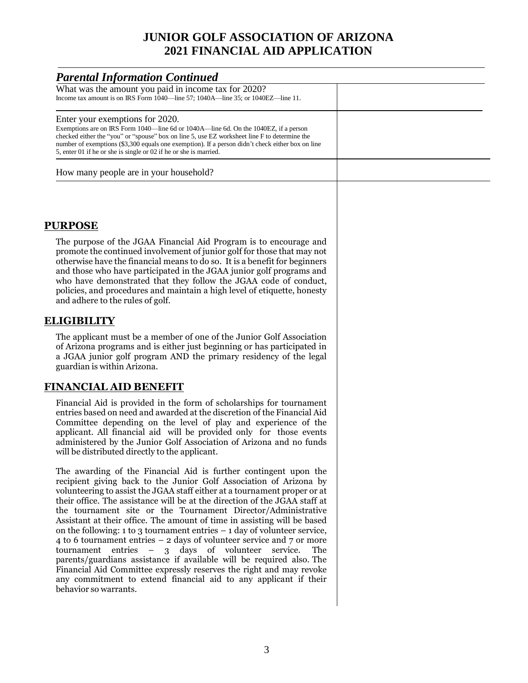## **JUNIOR GOLF ASSOCIATION OF ARIZONA 2021 FINANCIAL AID APPLICATION**

| <b>Parental Information Continued</b>                                                                                                                                                                                                                                                                                                                                                                                                                                                                                                                                                                                                                                                                                                                                                                                                                                                                                                                 |  |
|-------------------------------------------------------------------------------------------------------------------------------------------------------------------------------------------------------------------------------------------------------------------------------------------------------------------------------------------------------------------------------------------------------------------------------------------------------------------------------------------------------------------------------------------------------------------------------------------------------------------------------------------------------------------------------------------------------------------------------------------------------------------------------------------------------------------------------------------------------------------------------------------------------------------------------------------------------|--|
| What was the amount you paid in income tax for 2020?<br>Income tax amount is on IRS Form 1040—line 57; 1040A—line 35; or 1040EZ—line 11.                                                                                                                                                                                                                                                                                                                                                                                                                                                                                                                                                                                                                                                                                                                                                                                                              |  |
| Enter your exemptions for 2020.<br>Exemptions are on IRS Form 1040—line 6d or 1040A—line 6d. On the 1040EZ, if a person<br>checked either the "you" or "spouse" box on line 5, use EZ worksheet line F to determine the<br>number of exemptions (\$3,300 equals one exemption). If a person didn't check either box on line<br>5, enter 01 if he or she is single or 02 if he or she is married.                                                                                                                                                                                                                                                                                                                                                                                                                                                                                                                                                      |  |
| How many people are in your household?                                                                                                                                                                                                                                                                                                                                                                                                                                                                                                                                                                                                                                                                                                                                                                                                                                                                                                                |  |
|                                                                                                                                                                                                                                                                                                                                                                                                                                                                                                                                                                                                                                                                                                                                                                                                                                                                                                                                                       |  |
| <b>PURPOSE</b>                                                                                                                                                                                                                                                                                                                                                                                                                                                                                                                                                                                                                                                                                                                                                                                                                                                                                                                                        |  |
| The purpose of the JGAA Financial Aid Program is to encourage and<br>promote the continued involvement of junior golf for those that may not<br>otherwise have the financial means to do so. It is a benefit for beginners<br>and those who have participated in the JGAA junior golf programs and<br>who have demonstrated that they follow the JGAA code of conduct,<br>policies, and procedures and maintain a high level of etiquette, honesty<br>and adhere to the rules of golf.                                                                                                                                                                                                                                                                                                                                                                                                                                                                |  |
| <b>ELIGIBILITY</b>                                                                                                                                                                                                                                                                                                                                                                                                                                                                                                                                                                                                                                                                                                                                                                                                                                                                                                                                    |  |
| The applicant must be a member of one of the Junior Golf Association<br>of Arizona programs and is either just beginning or has participated in<br>a JGAA junior golf program AND the primary residency of the legal<br>guardian is within Arizona.                                                                                                                                                                                                                                                                                                                                                                                                                                                                                                                                                                                                                                                                                                   |  |
| <b>FINANCIAL AID BENEFIT</b>                                                                                                                                                                                                                                                                                                                                                                                                                                                                                                                                                                                                                                                                                                                                                                                                                                                                                                                          |  |
| Financial Aid is provided in the form of scholarships for tournament<br>entries based on need and awarded at the discretion of the Financial Aid<br>Committee depending on the level of play and experience of the<br>applicant. All financial aid will be provided only for those events<br>administered by the Junior Golf Association of Arizona and no funds<br>will be distributed directly to the applicant.                                                                                                                                                                                                                                                                                                                                                                                                                                                                                                                                    |  |
| The awarding of the Financial Aid is further contingent upon the<br>recipient giving back to the Junior Golf Association of Arizona by<br>volunteering to assist the JGAA staff either at a tournament proper or at<br>their office. The assistance will be at the direction of the JGAA staff at<br>the tournament site or the Tournament Director/Administrative<br>Assistant at their office. The amount of time in assisting will be based<br>on the following: $1$ to $3$ tournament entries $-1$ day of volunteer service,<br>4 to 6 tournament entries $-$ 2 days of volunteer service and $7$ or more<br>tournament entries<br>$\overline{\phantom{a}}$<br>3 days of volunteer<br>service.<br>The<br>parents/guardians assistance if available will be required also. The<br>Financial Aid Committee expressly reserves the right and may revoke<br>any commitment to extend financial aid to any applicant if their<br>behavior so warrants. |  |